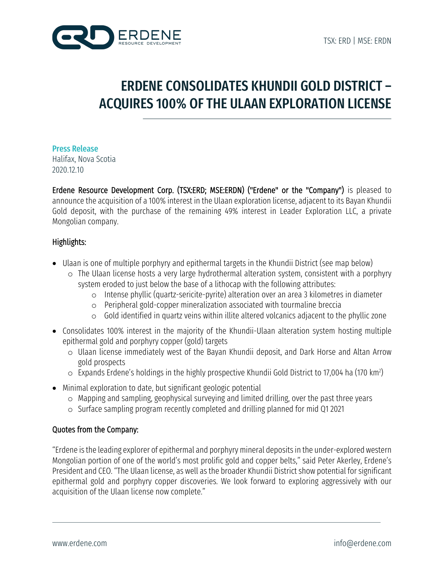

## ERDENE CONSOLIDATES KHUNDII GOLD DISTRICT – ACQUIRES 100% OF THE ULAAN EXPLORATION LICENSE

### Press Release

Halifax, Nova Scotia 2020.12.10

Erdene Resource Development Corp. (TSX:ERD; MSE:ERDN) ("Erdene" or the "Company") is pleased to announce the acquisition of a 100% interest in the Ulaan exploration license, adjacent to its Bayan Khundii Gold deposit, with the purchase of the remaining 49% interest in Leader Exploration LLC, a private Mongolian company.

## Highlights:

- Ulaan is one of multiple porphyry and epithermal targets in the Khundii District (see map below)
	- o The Ulaan license hosts a very large hydrothermal alteration system, consistent with a porphyry system eroded to just below the base of a lithocap with the following attributes:
		- o Intense phyllic (quartz-sericite-pyrite) alteration over an area 3 kilometres in diameter
		- o Peripheral gold-copper mineralization associated with tourmaline breccia
		- o Gold identified in quartz veins within illite altered volcanics adjacent to the phyllic zone
- Consolidates 100% interest in the majority of the Khundii-Ulaan alteration system hosting multiple epithermal gold and porphyry copper (gold) targets
	- o Ulaan license immediately west of the Bayan Khundii deposit, and Dark Horse and Altan Arrow gold prospects
	- $\circ~$  Expands Erdene's holdings in the highly prospective Khundii Gold District to 17,004 ha (170 km²)
- Minimal exploration to date, but significant geologic potential
	- o Mapping and sampling, geophysical surveying and limited drilling, over the past three years
	- o Surface sampling program recently completed and drilling planned for mid Q1 2021

### Quotes from the Company:

"Erdene is the leading explorer of epithermal and porphyry mineral deposits in the under-explored western Mongolian portion of one of the world's most prolific gold and copper belts," said Peter Akerley, Erdene's President and CEO. "The Ulaan license, as well asthe broader Khundii District show potential for significant epithermal gold and porphyry copper discoveries. We look forward to exploring aggressively with our acquisition of the Ulaan license now complete."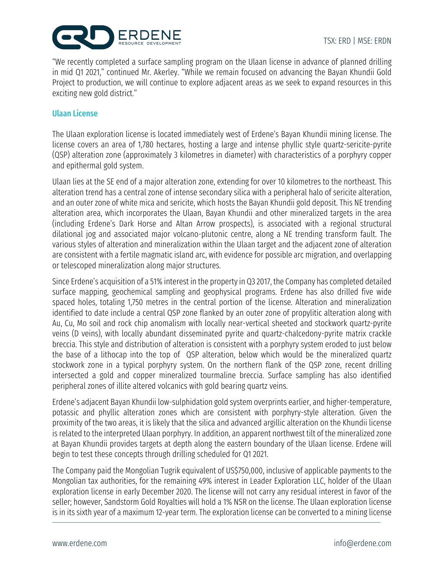

"We recently completed a surface sampling program on the Ulaan license in advance of planned drilling in mid Q1 2021," continued Mr. Akerley. "While we remain focused on advancing the Bayan Khundii Gold Project to production, we will continue to explore adjacent areas as we seek to expand resources in this exciting new gold district."

#### Ulaan License

The Ulaan exploration license is located immediately west of Erdene's Bayan Khundii mining license. The license covers an area of 1,780 hectares, hosting a large and intense phyllic style quartz-sericite-pyrite (QSP) alteration zone (approximately 3 kilometres in diameter) with characteristics of a porphyry copper and epithermal gold system.

Ulaan lies at the SE end of a major alteration zone, extending for over 10 kilometres to the northeast. This alteration trend has a central zone of intense secondary silica with a peripheral halo of sericite alteration, and an outer zone of white mica and sericite, which hosts the Bayan Khundii gold deposit. This NE trending alteration area, which incorporates the Ulaan, Bayan Khundii and other mineralized targets in the area (including Erdene's Dark Horse and Altan Arrow prospects), is associated with a regional structural dilational jog and associated major volcano-plutonic centre, along a NE trending transform fault. The various styles of alteration and mineralization within the Ulaan target and the adjacent zone of alteration are consistent with a fertile magmatic island arc, with evidence for possible arc migration, and overlapping or telescoped mineralization along major structures.

Since Erdene's acquisition of a 51% interest in the property in Q3 2017, the Company has completed detailed surface mapping, geochemical sampling and geophysical programs. Erdene has also drilled five wide spaced holes, totaling 1,750 metres in the central portion of the license. Alteration and mineralization identified to date include a central QSP zone flanked by an outer zone of propylitic alteration along with Au, Cu, Mo soil and rock chip anomalism with locally near-vertical sheeted and stockwork quartz-pyrite veins (D veins), with locally abundant disseminated pyrite and quartz-chalcedony-pyrite matrix crackle breccia. This style and distribution of alteration is consistent with a porphyry system eroded to just below the base of a lithocap into the top of QSP alteration, below which would be the mineralized quartz stockwork zone in a typical porphyry system. On the northern flank of the QSP zone, recent drilling intersected a gold and copper mineralized tourmaline breccia. Surface sampling has also identified peripheral zones of illite altered volcanics with gold bearing quartz veins.

Erdene's adjacent Bayan Khundii low-sulphidation gold system overprints earlier, and higher-temperature, potassic and phyllic alteration zones which are consistent with porphyry-style alteration. Given the proximity of the two areas, it is likely that the silica and advanced argillic alteration on the Khundii license is related to the interpreted Ulaan porphyry. In addition, an apparent northwest tilt of the mineralized zone at Bayan Khundii provides targets at depth along the eastern boundary of the Ulaan license. Erdene will begin to test these concepts through drilling scheduled for Q1 2021.

The Company paid the Mongolian Tugrik equivalent of US\$750,000, inclusive of applicable payments to the Mongolian tax authorities, for the remaining 49% interest in Leader Exploration LLC, holder of the Ulaan exploration license in early December 2020. The license will not carry any residual interest in favor of the seller; however, Sandstorm Gold Royalties will hold a 1% NSR on the license. The Ulaan exploration license is in its sixth year of a maximum 12-year term. The exploration license can be converted to a mining license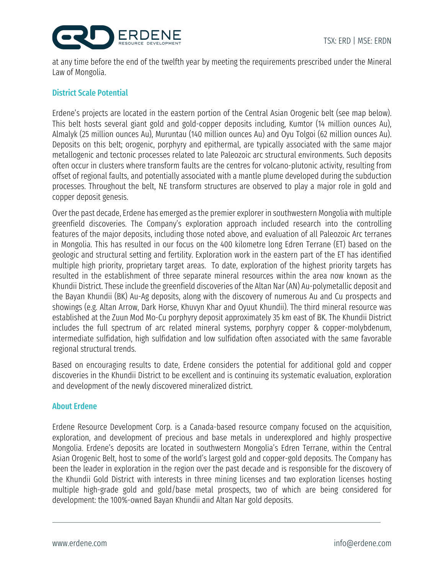



at any time before the end of the twelfth year by meeting the requirements prescribed under the Mineral Law of Mongolia.

### District Scale Potential

Erdene's projects are located in the eastern portion of the Central Asian Orogenic belt (see map below). This belt hosts several giant gold and gold-copper deposits including, Kumtor (14 million ounces Au), Almalyk (25 million ounces Au), Muruntau (140 million ounces Au) and Oyu Tolgoi (62 million ounces Au). Deposits on this belt; orogenic, porphyry and epithermal, are typically associated with the same major metallogenic and tectonic processes related to late Paleozoic arc structural environments. Such deposits often occur in clusters where transform faults are the centres for volcano-plutonic activity, resulting from offset of regional faults, and potentially associated with a mantle plume developed during the subduction processes. Throughout the belt, NE transform structures are observed to play a major role in gold and copper deposit genesis.

Over the past decade, Erdene has emerged as the premier explorer in southwestern Mongolia with multiple greenfield discoveries. The Company's exploration approach included research into the controlling features of the major deposits, including those noted above, and evaluation of all Paleozoic Arc terranes in Mongolia. This has resulted in our focus on the 400 kilometre long Edren Terrane (ET) based on the geologic and structural setting and fertility. Exploration work in the eastern part of the ET has identified multiple high priority, proprietary target areas. To date, exploration of the highest priority targets has resulted in the establishment of three separate mineral resources within the area now known as the Khundii District. These include the greenfield discoveries of the Altan Nar (AN) Au-polymetallic deposit and the Bayan Khundii (BK) Au-Ag deposits, along with the discovery of numerous Au and Cu prospects and showings (e.g. Altan Arrow, Dark Horse, Khuvyn Khar and Oyuut Khundii). The third mineral resource was established at the Zuun Mod Mo-Cu porphyry deposit approximately 35 km east of BK. The Khundii District includes the full spectrum of arc related mineral systems, porphyry copper & copper-molybdenum, intermediate sulfidation, high sulfidation and low sulfidation often associated with the same favorable regional structural trends.

Based on encouraging results to date, Erdene considers the potential for additional gold and copper discoveries in the Khundii District to be excellent and is continuing its systematic evaluation, exploration and development of the newly discovered mineralized district.

### About Erdene

Erdene Resource Development Corp. is a Canada-based resource company focused on the acquisition, exploration, and development of precious and base metals in underexplored and highly prospective Mongolia. Erdene's deposits are located in southwestern Mongolia's Edren Terrane, within the Central Asian Orogenic Belt, host to some of the world's largest gold and copper-gold deposits. The Company has been the leader in exploration in the region over the past decade and is responsible for the discovery of the Khundii Gold District with interests in three mining licenses and two exploration licenses hosting multiple high-grade gold and gold/base metal prospects, two of which are being considered for development: the 100%-owned Bayan Khundii and Altan Nar gold deposits.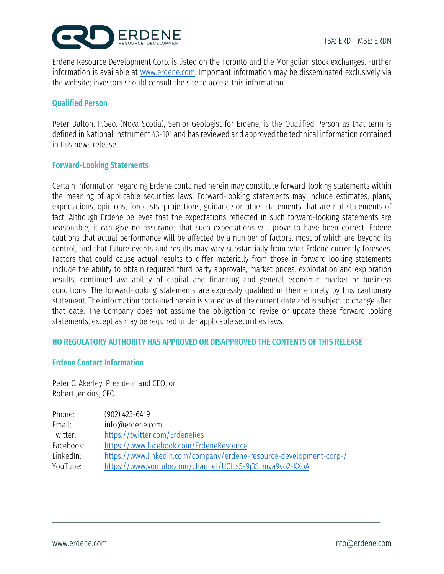

Erdene Resource Development Corp. is listed on the Toronto and the Mongolian stock exchanges. Further information is available at www.erdene.com. Important information may be disseminated exclusively via the website; investors should consult the site to access this information.

#### Qualified Person

Peter Dalton, P.Geo. (Nova Scotia), Senior Geologist for Erdene, is the Qualified Person as that term is defined in National Instrument 43-101 and has reviewed and approved the technical information contained in this news release.

#### Forward-Looking Statements

Certain information regarding Erdene contained herein may constitute forward-looking statements within the meaning of applicable securities laws. Forward-looking statements may include estimates, plans, expectations, opinions, forecasts, projections, guidance or other statements that are not statements of fact. Although Erdene believes that the expectations reflected in such forward-looking statements are reasonable, it can give no assurance that such expectations will prove to have been correct. Erdene cautions that actual performance will be affected by a number of factors, most of which are beyond its control, and that future events and results may vary substantially from what Erdene currently foresees. Factors that could cause actual results to differ materially from those in forward-looking statements include the ability to obtain required third party approvals, market prices, exploitation and exploration results, continued availability of capital and financing and general economic, market or business conditions. The forward-looking statements are expressly qualified in their entirety by this cautionary statement. The information contained herein is stated as of the current date and is subject to change after that date. The Company does not assume the obligation to revise or update these forward-looking statements, except as may be required under applicable securities laws.

#### NO REGULATORY AUTHORITY HAS APPROVED OR DISAPPROVED THE CONTENTS OF THIS RELEASE

#### Erdene Contact Information

Peter C. Akerley, President and CEO, or Robert Jenkins, CFO

| Phone:    | $(902)$ 423-6419                                                    |
|-----------|---------------------------------------------------------------------|
| Email:    | info@erdene.com                                                     |
| Twitter:  | https://twitter.com/ErdeneRes                                       |
| Facebook: | https://www.facebook.com/ErdeneResource                             |
| LinkedIn: | https://www.linkedin.com/company/erdene-resource-development-corp-/ |
| YouTube:  | https://www.youtube.com/channel/UCILs5s9j3SLmya9vo2-KXoA            |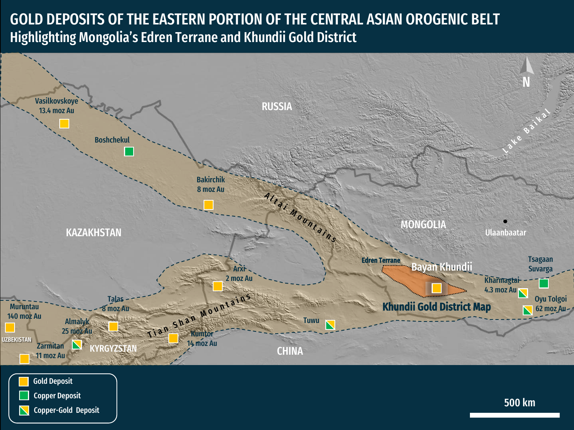## GOLD DEPOSITS OF THE EASTERN PORTION OF THE CENTRAL ASIAN OROGENIC BELT Highlighting Mongolia's Edren Terrane and Khundii Gold District

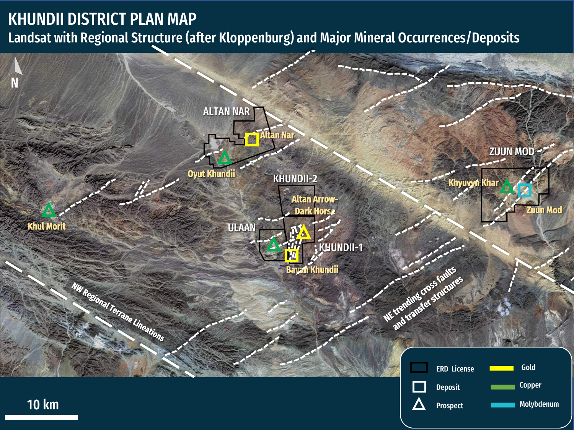## KHUNDII DISTRICT PLAN MAP Landsat with Regional Structure (after Kloppenburg) and Major Mineral Occurrences/Deposits

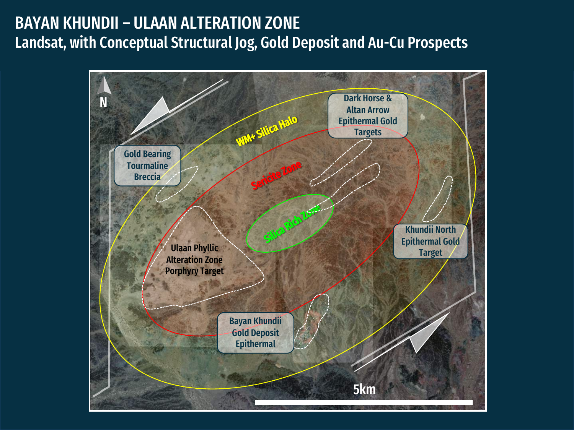## BAYAN KHUNDII – ULAAN ALTERATION ZONE Landsat, with Conceptual Structural Jog, Gold Deposit and Au-Cu Prospects